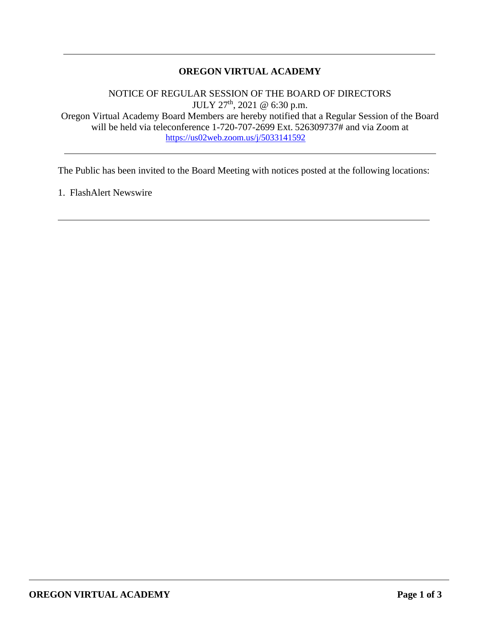# **OREGON VIRTUAL ACADEMY**

NOTICE OF REGULAR SESSION OF THE BOARD OF DIRECTORS  $JULY 27<sup>th</sup>$ , 2021 @ 6:30 p.m. Oregon Virtual Academy Board Members are hereby notified that a Regular Session of the Board will be held via teleconference 1-720-707-2699 Ext. 526309737# and via Zoom at <https://us02web.zoom.us/j/5033141592>

The Public has been invited to the Board Meeting with notices posted at the following locations:

1. FlashAlert Newswire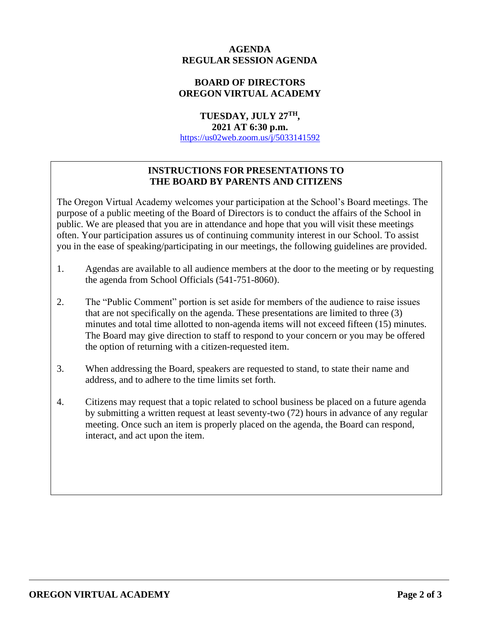## **AGENDA REGULAR SESSION AGENDA**

## **BOARD OF DIRECTORS OREGON VIRTUAL ACADEMY**

**TUESDAY, JULY 27TH, 2021 AT 6:30 p.m.** <https://us02web.zoom.us/j/5033141592>

# **INSTRUCTIONS FOR PRESENTATIONS TO THE BOARD BY PARENTS AND CITIZENS**

The Oregon Virtual Academy welcomes your participation at the School's Board meetings. The purpose of a public meeting of the Board of Directors is to conduct the affairs of the School in public. We are pleased that you are in attendance and hope that you will visit these meetings often. Your participation assures us of continuing community interest in our School. To assist you in the ease of speaking/participating in our meetings, the following guidelines are provided.

- 1. Agendas are available to all audience members at the door to the meeting or by requesting the agenda from School Officials (541-751-8060).
- 2. The "Public Comment" portion is set aside for members of the audience to raise issues that are not specifically on the agenda. These presentations are limited to three (3) minutes and total time allotted to non-agenda items will not exceed fifteen (15) minutes. The Board may give direction to staff to respond to your concern or you may be offered the option of returning with a citizen-requested item.
- 3. When addressing the Board, speakers are requested to stand, to state their name and address, and to adhere to the time limits set forth.
- 4. Citizens may request that a topic related to school business be placed on a future agenda by submitting a written request at least seventy-two (72) hours in advance of any regular meeting. Once such an item is properly placed on the agenda, the Board can respond, interact, and act upon the item.